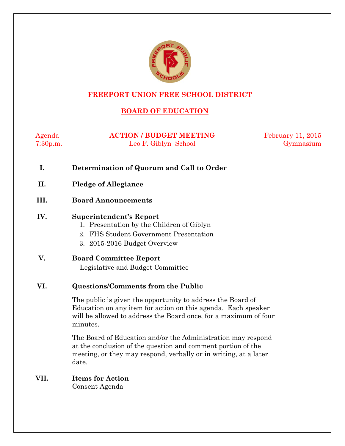

#### **FREEPORT UNION FREE SCHOOL DISTRICT**

# **BOARD OF EDUCATION**

| Agenda   | <b>ACTION / BUDGET MEETING</b> | <b>February 11, 2015</b> |
|----------|--------------------------------|--------------------------|
| 7:30p.m. | Leo F. Giblyn School           | Gymnasium                |

- **I. Determination of Quorum and Call to Order**
- **II. Pledge of Allegiance**
- **III. Board Announcements**

#### **IV. Superintendent's Report**

- 1. Presentation by the Children of Giblyn
- 2. FHS Student Government Presentation
- 3. 2015-2016 Budget Overview
- **V. Board Committee Report** Legislative and Budget Committee

#### **VI. Questions/Comments from the Public**

The public is given the opportunity to address the Board of Education on any item for action on this agenda. Each speaker will be allowed to address the Board once, for a maximum of four minutes.

The Board of Education and/or the Administration may respond at the conclusion of the question and comment portion of the meeting, or they may respond, verbally or in writing, at a later date.

# **VII. Items for Action**

Consent Agenda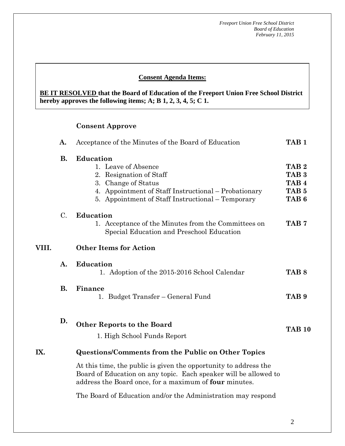#### **Consent Agenda Items:**

**BE IT RESOLVED that the Board of Education of the Freeport Union Free School District hereby approves the following items; A; B 1, 2, 3, 4, 5; C 1.**

#### **Consent Approve**

|       | А.        | Acceptance of the Minutes of the Board of Education                                                                                                                                             | TAB <sub>1</sub>                                                                                 |
|-------|-----------|-------------------------------------------------------------------------------------------------------------------------------------------------------------------------------------------------|--------------------------------------------------------------------------------------------------|
|       | <b>B.</b> | Education<br>1. Leave of Absence<br>2. Resignation of Staff<br>3. Change of Status<br>4. Appointment of Staff Instructional – Probationary<br>5. Appointment of Staff Instructional – Temporary | TAB <sub>2</sub><br>TAB <sub>3</sub><br>TAB <sub>4</sub><br>TAB <sub>5</sub><br>TAB <sub>6</sub> |
|       | $C$ .     | <b>Education</b><br>1. Acceptance of the Minutes from the Committees on<br>Special Education and Preschool Education                                                                            | TAB <sub>7</sub>                                                                                 |
| VIII. |           | <b>Other Items for Action</b>                                                                                                                                                                   |                                                                                                  |
|       | A.        | <b>Education</b><br>1. Adoption of the 2015-2016 School Calendar                                                                                                                                | TAB <sub>8</sub>                                                                                 |
|       | <b>B.</b> | Finance<br>Budget Transfer – General Fund<br>1.                                                                                                                                                 | TAB <sub>9</sub>                                                                                 |
|       | D.        | <b>Other Reports to the Board</b><br>1. High School Funds Report                                                                                                                                | <b>TAB 10</b>                                                                                    |
| IX.   |           | <b>Questions/Comments from the Public on Other Topics</b>                                                                                                                                       |                                                                                                  |
|       |           | At this time, the public is given the opportunity to address the<br>Board of Education on any topic. Each speaker will be allowed to<br>address the Board once, for a maximum of four minutes.  |                                                                                                  |
|       |           | The Board of Education and/or the Administration may respond                                                                                                                                    |                                                                                                  |

2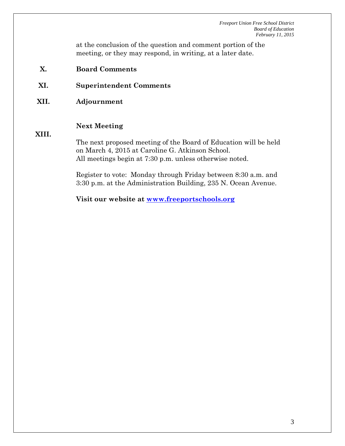at the conclusion of the question and comment portion of the meeting, or they may respond, in writing, at a later date.

- **X. Board Comments**
- **XI. Superintendent Comments**
- **XII. Adjournment**

#### **Next Meeting**

#### **XIII.**

The next proposed meeting of the Board of Education will be held on March 4, 2015 at Caroline G. Atkinson School. All meetings begin at 7:30 p.m. unless otherwise noted.

Register to vote: Monday through Friday between 8:30 a.m. and 3:30 p.m. at the Administration Building, 235 N. Ocean Avenue.

**Visit our website at [www.freeportschools.org](http://www.freeportschools.org/)**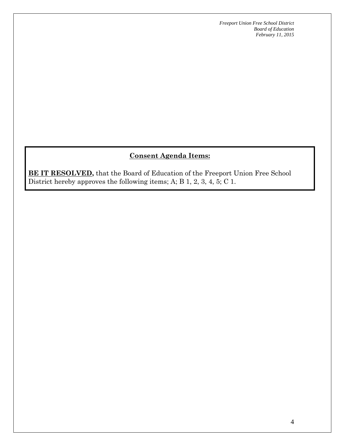# **Consent Agenda Items:**

**BE IT RESOLVED,** that the Board of Education of the Freeport Union Free School District hereby approves the following items; A; B 1, 2, 3, 4, 5; C 1.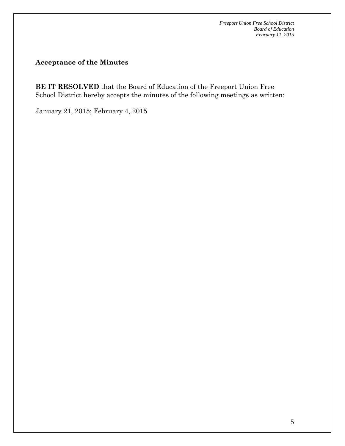### **Acceptance of the Minutes**

**BE IT RESOLVED** that the Board of Education of the Freeport Union Free School District hereby accepts the minutes of the following meetings as written:

January 21, 2015; February 4, 2015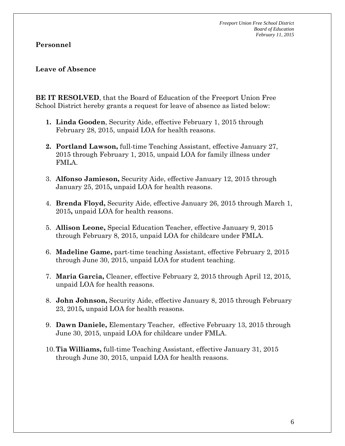### **Personnel**

#### **Leave of Absence**

**BE IT RESOLVED**, that the Board of Education of the Freeport Union Free School District hereby grants a request for leave of absence as listed below:

- **1. Linda Gooden**, Security Aide, effective February 1, 2015 through February 28, 2015, unpaid LOA for health reasons.
- **2. Portland Lawson,** full-time Teaching Assistant, effective January 27, 2015 through February 1, 2015, unpaid LOA for family illness under FMLA.
- 3. **Alfonso Jamieson,** Security Aide, effective January 12, 2015 through January 25, 2015**,** unpaid LOA for health reasons.
- 4. **Brenda Floyd,** Security Aide, effective January 26, 2015 through March 1, 2015**,** unpaid LOA for health reasons.
- 5. **Allison Leone,** Special Education Teacher, effective January 9, 2015 through February 8, 2015, unpaid LOA for childcare under FMLA.
- 6. **Madeline Game,** part-time teaching Assistant, effective February 2, 2015 through June 30, 2015, unpaid LOA for student teaching.
- 7. **Maria Garcia,** Cleaner, effective February 2, 2015 through April 12, 2015, unpaid LOA for health reasons.
- 8. **John Johnson,** Security Aide, effective January 8, 2015 through February 23, 2015**,** unpaid LOA for health reasons.
- 9. **Dawn Daniele,** Elementary Teacher, effective February 13, 2015 through June 30, 2015, unpaid LOA for childcare under FMLA.
- 10.**Tia Williams,** full-time Teaching Assistant, effective January 31, 2015 through June 30, 2015, unpaid LOA for health reasons.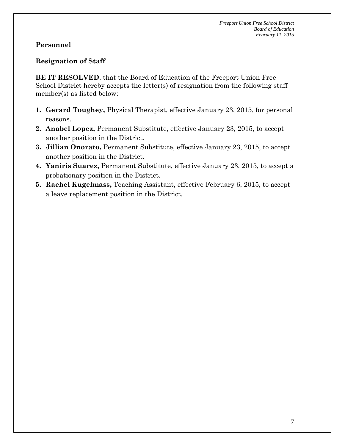# **Personnel**

# **Resignation of Staff**

**BE IT RESOLVED**, that the Board of Education of the Freeport Union Free School District hereby accepts the letter(s) of resignation from the following staff member(s) as listed below:

- **1. Gerard Toughey,** Physical Therapist, effective January 23, 2015, for personal reasons.
- **2. Anabel Lopez,** Permanent Substitute, effective January 23, 2015, to accept another position in the District.
- **3. Jillian Onorato,** Permanent Substitute, effective January 23, 2015, to accept another position in the District.
- **4. Yaniris Suarez,** Permanent Substitute, effective January 23, 2015, to accept a probationary position in the District.
- **5. Rachel Kugelmass,** Teaching Assistant, effective February 6, 2015, to accept a leave replacement position in the District.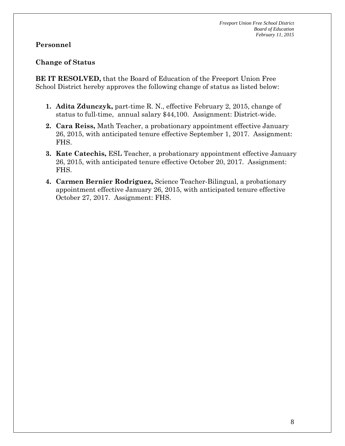### **Personnel**

#### **Change of Status**

**BE IT RESOLVED,** that the Board of Education of the Freeport Union Free School District hereby approves the following change of status as listed below:

- **1. Adita Zdunczyk,** part-time R. N., effective February 2, 2015, change of status to full-time, annual salary \$44,100. Assignment: District-wide.
- **2. Cara Reiss,** Math Teacher, a probationary appointment effective January 26, 2015, with anticipated tenure effective September 1, 2017. Assignment: FHS.
- **3. Kate Catechis,** ESL Teacher, a probationary appointment effective January 26, 2015, with anticipated tenure effective October 20, 2017. Assignment: FHS.
- **4. Carmen Bernier Rodriguez,** Science Teacher-Bilingual, a probationary appointment effective January 26, 2015, with anticipated tenure effective October 27, 2017. Assignment: FHS.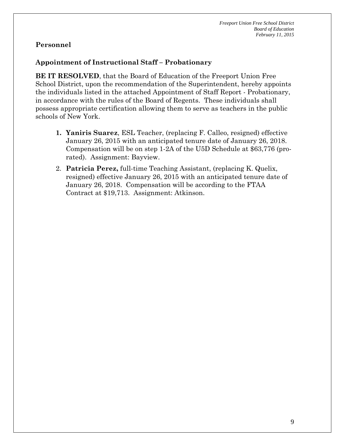## **Personnel**

## **Appointment of Instructional Staff – Probationary**

**BE IT RESOLVED**, that the Board of Education of the Freeport Union Free School District, upon the recommendation of the Superintendent, hereby appoints the individuals listed in the attached Appointment of Staff Report - Probationary, in accordance with the rules of the Board of Regents. These individuals shall possess appropriate certification allowing them to serve as teachers in the public schools of New York.

- **1. Yaniris Suarez**, ESL Teacher, (replacing F. Calleo, resigned) effective January 26, 2015 with an anticipated tenure date of January 26, 2018. Compensation will be on step 1-2A of the U5D Schedule at \$63,776 (prorated). Assignment: Bayview.
- 2. **Patricia Perez,** full-time Teaching Assistant, (replacing K. Quelix, resigned) effective January 26, 2015 with an anticipated tenure date of January 26, 2018. Compensation will be according to the FTAA Contract at \$19,713. Assignment: Atkinson.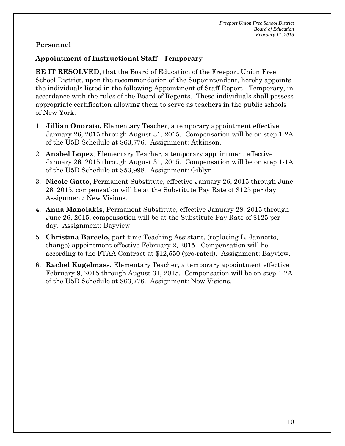## **Personnel**

### **Appointment of Instructional Staff - Temporary**

**BE IT RESOLVED**, that the Board of Education of the Freeport Union Free School District, upon the recommendation of the Superintendent, hereby appoints the individuals listed in the following Appointment of Staff Report - Temporary, in accordance with the rules of the Board of Regents. These individuals shall possess appropriate certification allowing them to serve as teachers in the public schools of New York.

- 1. **Jillian Onorato,** Elementary Teacher, a temporary appointment effective January 26, 2015 through August 31, 2015. Compensation will be on step 1-2A of the U5D Schedule at \$63,776. Assignment: Atkinson.
- 2. **Anabel Lopez**, Elementary Teacher, a temporary appointment effective January 26, 2015 through August 31, 2015. Compensation will be on step 1-1A of the U5D Schedule at \$53,998. Assignment: Giblyn.
- 3. **Nicole Gatto,** Permanent Substitute, effective January 26, 2015 through June 26, 2015, compensation will be at the Substitute Pay Rate of \$125 per day. Assignment: New Visions.
- 4. **Anna Manolakis,** Permanent Substitute, effective January 28, 2015 through June 26, 2015, compensation will be at the Substitute Pay Rate of \$125 per day. Assignment: Bayview.
- 5. **Christina Barcelo,** part-time Teaching Assistant, (replacing L. Jannetto, change) appointment effective February 2, 2015. Compensation will be according to the FTAA Contract at \$12,550 (pro-rated). Assignment: Bayview.
- 6. **Rachel Kugelmass**, Elementary Teacher, a temporary appointment effective February 9, 2015 through August 31, 2015. Compensation will be on step 1-2A of the U5D Schedule at \$63,776. Assignment: New Visions.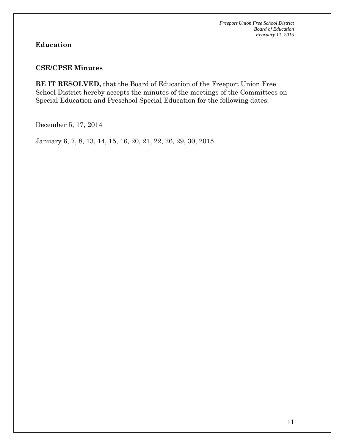# **Education**

#### **CSE/CPSE Minutes**

**BE IT RESOLVED,** that the Board of Education of the Freeport Union Free School District hereby accepts the minutes of the meetings of the Committees on Special Education and Preschool Special Education for the following dates:

December 5, 17, 2014

January 6, 7, 8, 13, 14, 15, 16, 20, 21, 22, 26, 29, 30, 2015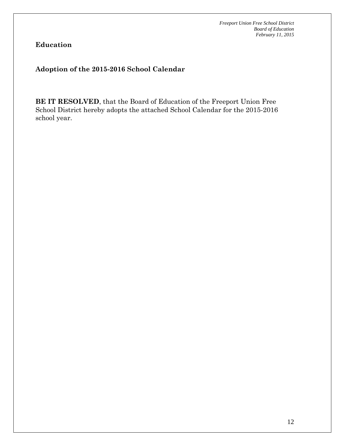**Education**

## **Adoption of the 2015-2016 School Calendar**

**BE IT RESOLVED**, that the Board of Education of the Freeport Union Free School District hereby adopts the attached School Calendar for the 2015-2016 school year.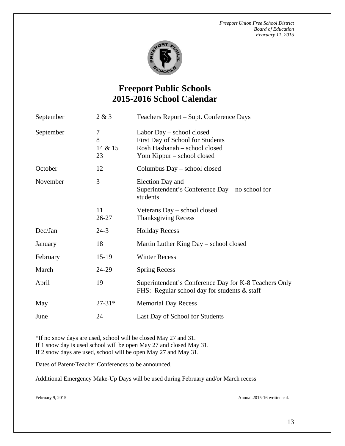

# **Freeport Public Schools 2015-2016 School Calendar**

| September | 2 & 3                   | Teachers Report - Supt. Conference Days                                                                                      |
|-----------|-------------------------|------------------------------------------------------------------------------------------------------------------------------|
| September | 7<br>8<br>14 & 15<br>23 | Labor Day – school closed<br>First Day of School for Students<br>Rosh Hashanah - school closed<br>Yom Kippur – school closed |
| October   | 12                      | Columbus Day – school closed                                                                                                 |
| November  | 3                       | Election Day and<br>Superintendent's Conference Day – no school for<br>students                                              |
|           | 11<br>26-27             | Veterans Day – school closed<br><b>Thanksgiving Recess</b>                                                                   |
| Dec/Jan   | $24-3$                  | <b>Holiday Recess</b>                                                                                                        |
| January   | 18                      | Martin Luther King Day – school closed                                                                                       |
| February  | $15-19$                 | <b>Winter Recess</b>                                                                                                         |
| March     | 24-29                   | <b>Spring Recess</b>                                                                                                         |
| April     | 19                      | Superintendent's Conference Day for K-8 Teachers Only<br>FHS: Regular school day for students & staff                        |
| May       | $27-31*$                | <b>Memorial Day Recess</b>                                                                                                   |
| June      | 24                      | Last Day of School for Students                                                                                              |

\*If no snow days are used, school will be closed May 27 and 31. If 1 snow day is used school will be open May 27 and closed May 31. If 2 snow days are used, school will be open May 27 and May 31.

Dates of Parent/Teacher Conferences to be announced.

Additional Emergency Make-Up Days will be used during February and/or March recess

February 9, 2015 Annual.2015-16 written cal.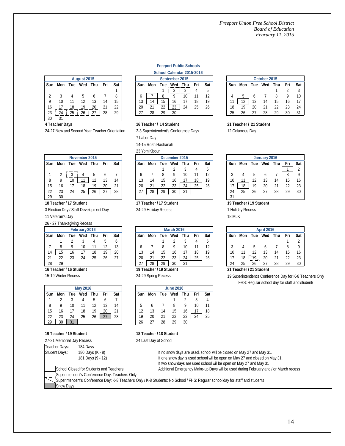| August 2015 |            |     |     |     |     |     |
|-------------|------------|-----|-----|-----|-----|-----|
| Sun         | Mon        | Tue | Wed | Thu | Fri | Sat |
|             |            |     |     |     |     |     |
|             |            |     |     |     |     |     |
| 9           | 10         |     |     | 13  | 4   | 15  |
| 16          |            | 18  | 19  | 20  |     | 22  |
| 23          | $^{\circ}$ | 25  | 26  | 27  | 28  | 29  |

**4 Teacher Days**

24-27 New and Second Year Teacher Orientation

|    |     | School Calendar 2015-2016 |     |    |
|----|-----|---------------------------|-----|----|
|    |     | September 2015            |     |    |
| ın | Mon | Tue Wed Thu               | Fri | S. |
|    |     |                           |     | 5  |

**Freeport Public Schools**

2-3 Superintendent's Conference Days

**16 Teacher / 14 Student**

23 Yom Kippur

7 Labor Day 14-15 Rosh Hashanah

|     |     |     | August 2015 |     |     |     |  | September 2015 |     |     |     |     |     |              |  | October 2015 |     |     |     |     |     |     |  |
|-----|-----|-----|-------------|-----|-----|-----|--|----------------|-----|-----|-----|-----|-----|--------------|--|--------------|-----|-----|-----|-----|-----|-----|--|
| Sun | Mon | Tue | Wed         | Thu | Fri | Sat |  | Sun            | Mon | Tue | Wed | Thu | Fri | Sat          |  | Sun          | Mon | Tue | Wed | Thu | Fri | Sat |  |
|     |     |     |             |     |     |     |  |                |     |     |     | c   |     | <sub>5</sub> |  |              |     |     |     |     |     |     |  |
|     |     |     |             |     |     | 8   |  |                |     |     |     | 10  |     | 12           |  |              |     |     |     |     |     |     |  |
|     | 10  |     |             |     | 14  | 15  |  | 13             | 14  | 15  | 16  |     | 18  | 19           |  |              | 12  | 13  | 14  | 15  | 16  |     |  |
| 16  |     | 18  | 19          | 20  |     | 22  |  | 20             | 21  | 22  | 23  | 24  | 25  | 26           |  | 18           | 19  | 20  | 21  | 22  | 23  | 24  |  |
| 23  | 24  | 25  | 26          | -27 | 28  | 29  |  | 27             | 28  | 29  | 30  |     |     |              |  | 25           |     |     | 28  | 29  | 30  |     |  |

#### **21 Teacher / 21 Student**

12 Columbus Day

|      |     |     |     | December 2015 |     |     |     |  |     |     |     | January 2016 |     |     |  |     |     |     |     |     |     |     |
|------|-----|-----|-----|---------------|-----|-----|-----|--|-----|-----|-----|--------------|-----|-----|--|-----|-----|-----|-----|-----|-----|-----|
| iun. | Mon | Tue | Wed | Thu           | Fri | Sat | Sun |  | Mon | Tue | Wed | Thu          | Fri | Sat |  | Sun | Mon | Tue | Wed | Thu | Fri | Sat |
|      |     |     |     |               |     |     |     |  |     |     |     |              |     | 5   |  |     |     |     |     |     |     |     |
|      |     |     |     |               |     |     |     |  |     |     |     | 10           |     | 12  |  |     |     |     |     |     |     |     |
| 8    | 9   | 10  |     | 12            | 13  | 14  | 13  |  | 14  | 15  |     |              | 18  | 19  |  | 10  |     |     | 13  | 14  | 15  | 16  |
| 15   | 16  |     | 18  | 19            | 20  | 21  | 20  |  | 21  | 22  | 23  | 24           | 25  | 26  |  |     | 18  | 19  | 20  | 21  | 22  | 23  |
| 22   | 23  | 24  | 25  | 26            | 27  | 28  | 27  |  | 28  | 29  | 30  | 31           |     |     |  | 24  | 25  | 26  | 27  | 28  | 29  | 30  |
| 29   | 30  |     |     |               |     |     |     |  |     |     |     |              |     |     |  | -31 |     |     |     |     |     |     |

#### **19 Teacher / 19 Student**

1 Holiday Recess

18 MLK

| February 2016 |     |     |     |     |     |     |     | <b>March 2016</b> |     |     |     |     |     |  | <b>April 2016</b> |     |     |     |     |     |  |
|---------------|-----|-----|-----|-----|-----|-----|-----|-------------------|-----|-----|-----|-----|-----|--|-------------------|-----|-----|-----|-----|-----|--|
| Sun           | Mon | Tue | Wed | Thu | Fri | Sat | Sun | Mon               | Tue | Wed | Thu | Fri | Sat |  | Sun               | Mon | Tue | Wed | Thu | Fri |  |
|               |     |     |     |     |     | 6   |     |                   |     |     |     |     |     |  |                   |     |     |     |     |     |  |
|               |     |     | 10  |     |     | 13  |     |                   |     | 9   |     |     | 12  |  |                   |     |     |     |     |     |  |
| 14            | 15  | 16  |     | 18  | 19  | 20  |     | 14                |     | 16  |     | 18  | 19  |  | 10                |     |     |     | 14  | 15  |  |
| 21            | 22  |     | 24  | 25  | 26  | 27  | 20  | 21                | 22  | 23  | 24  | 25  | 26  |  |                   | 18  | ጉ9. | 20  | 21  |     |  |
| 28            | 29  |     |     |     |     |     | 27  | 28                | 29  | 30  | 31  |     |     |  | 24                | 25  | 26  | 27  | 28  | 29  |  |

#### **21 Teacher / 21 Student**

FHS: Regular school day for staff and students 19 Superintendent's Conference Day for K-8 Teachers Only

|     |     |     |               |     |     |     |               | LUITINPPUI |     |     |     |     |     |     |    |
|-----|-----|-----|---------------|-----|-----|-----|---------------|------------|-----|-----|-----|-----|-----|-----|----|
|     |     |     | November 2015 |     |     |     | December 2015 |            |     |     |     |     |     |     |    |
| Sun | Mon | Tue | Wed           | Thu | Fri | Sat | Sun           | Mon        | Tue | Wed | Thu | Fri | Sat | Suı |    |
|     |     |     |               |     |     |     |               |            |     |     |     |     | 5   |     |    |
|     | 2   |     |               | 5   | 6   |     |               |            | 8   | 9   | 10  |     | 12  |     | 3  |
| 8   | 9   | 10  |               | 12  | 13  | 14  | 13            | 14         | 15  | 16  |     | 18  | 19  |     | 10 |
| 15  | 16  |     | 18            | 19  | 20  | 21  | 20            | 21         | 22  | 23  | 24  | 25  | 26  |     | 17 |
| 22  | 23  | 24  | 25            | 26  | 27  | 28  | 27            | 28         | 29  | 30  | 31  |     |     |     | 24 |
| 29  | 30  |     |               |     |     |     |               |            |     |     |     |     |     |     | 31 |

**18 Teacher / 17 Student**

3 Election Day / Staff Development Day

11 Veteran's Day

#### 26 - 27 Thanksgiving Recess

|     | February 2016 |     |     |     |     |     |  |  |  |  |  |  |  |  |
|-----|---------------|-----|-----|-----|-----|-----|--|--|--|--|--|--|--|--|
| Sun | Mon           | Tue | Wed | Thu | Fri | Sat |  |  |  |  |  |  |  |  |
|     |               | 2   | 3   |     | 5   | 6   |  |  |  |  |  |  |  |  |
|     | 8             | 9   | 10  | 11  | 12  | 13  |  |  |  |  |  |  |  |  |
| 14  | 15            | 16  | 17  | 18  | 19  | 20  |  |  |  |  |  |  |  |  |
| 21  | 22            | 23  | 24  | 25  | 26  | 27  |  |  |  |  |  |  |  |  |
|     | 29            |     |     |     |     |     |  |  |  |  |  |  |  |  |

#### **16 Teacher / 16 Student**

15-19 Winter Recess

|     | <b>May 2016</b> |     |     |     |     |     |  |  |  |
|-----|-----------------|-----|-----|-----|-----|-----|--|--|--|
| Sun | Mon             | Tue | Wed | Thu | Fri | Sat |  |  |  |
|     |                 |     | 4   | 5   |     |     |  |  |  |
| 8   | 9               | 10  | 11  | 12  | 13  | 14  |  |  |  |
| 15  | 16              |     | 18  | 19  | 20  | 21  |  |  |  |
| 22  | 23              | 24  | 25  | 26  | 27  | 28  |  |  |  |
| 29  | 30              | 31  |     |     |     |     |  |  |  |

#### 27-31 Memorial Day Recess **19 Teacher / 19 Student**

| 18 Teacher / 18 Student |  |  |
|-------------------------|--|--|
| 24 Last Day of School   |  |  |

**19 Teacher / 19 Student** 24-29 Spring Recess

**17 Teacher / 17 Student** 24-29 Holiday Recess

| Teacher Days:                                                                                                                 | 184 Davs          |                                                                                      |
|-------------------------------------------------------------------------------------------------------------------------------|-------------------|--------------------------------------------------------------------------------------|
| Student Days:                                                                                                                 | 180 Days (K - 8)  | If no snow days are used, school will be closed on May 27 and May 31.                |
|                                                                                                                               | 181 Days (9 - 12) | If one snow day is used school will be open on May 27 and closed on May 31.          |
|                                                                                                                               |                   | If two snow days are used school will be open on May 27 and May 31                   |
| School Closed for Students and Teachers                                                                                       |                   | Additional Emergency Make-up Days will be used during February and / or March recess |
|                                                                                                                               |                   |                                                                                      |
| Superintendent's Conference Day: K-8 Teachers Only / K-8 Students: No School / FHS: Regular school day for staff and students |                   |                                                                                      |
|                                                                                                                               |                   |                                                                                      |
| Superintendent's Conference Day: Teachers Only<br><b>Snow Days</b>                                                            |                   |                                                                                      |

14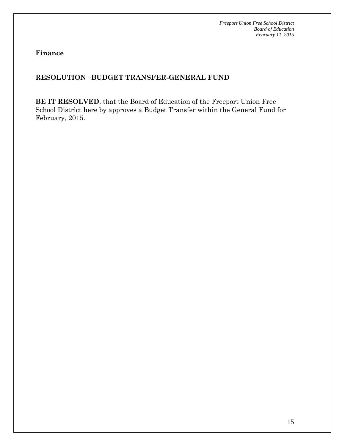**Finance**

# **RESOLUTION –BUDGET TRANSFER-GENERAL FUND**

**BE IT RESOLVED**, that the Board of Education of the Freeport Union Free School District here by approves a Budget Transfer within the General Fund for February, 2015.